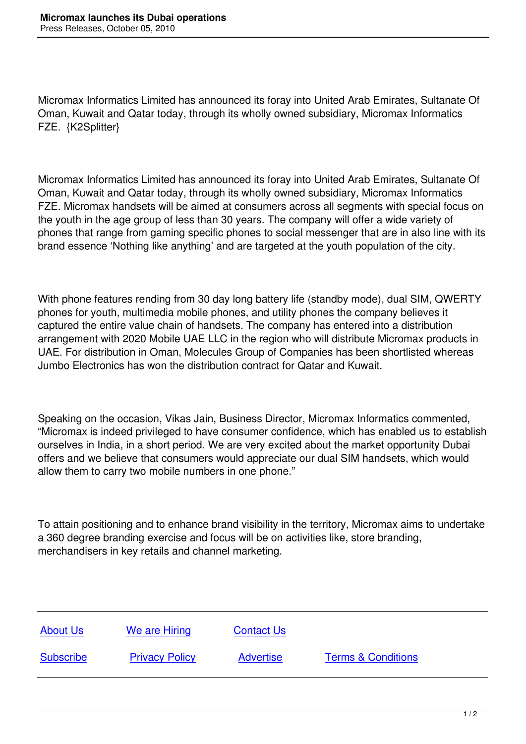Micromax Informatics Limited has announced its foray into United Arab Emirates, Sultanate Of Oman, Kuwait and Qatar today, through its wholly owned subsidiary, Micromax Informatics FZE. {K2Splitter}

Micromax Informatics Limited has announced its foray into United Arab Emirates, Sultanate Of Oman, Kuwait and Qatar today, through its wholly owned subsidiary, Micromax Informatics FZE. Micromax handsets will be aimed at consumers across all segments with special focus on the youth in the age group of less than 30 years. The company will offer a wide variety of phones that range from gaming specific phones to social messenger that are in also line with its brand essence 'Nothing like anything' and are targeted at the youth population of the city.

With phone features rending from 30 day long battery life (standby mode), dual SIM, QWERTY phones for youth, multimedia mobile phones, and utility phones the company believes it captured the entire value chain of handsets. The company has entered into a distribution arrangement with 2020 Mobile UAE LLC in the region who will distribute Micromax products in UAE. For distribution in Oman, Molecules Group of Companies has been shortlisted whereas Jumbo Electronics has won the distribution contract for Qatar and Kuwait.

Speaking on the occasion, Vikas Jain, Business Director, Micromax Informatics commented, "Micromax is indeed privileged to have consumer confidence, which has enabled us to establish ourselves in India, in a short period. We are very excited about the market opportunity Dubai offers and we believe that consumers would appreciate our dual SIM handsets, which would allow them to carry two mobile numbers in one phone."

To attain positioning and to enhance brand visibility in the territory, Micromax aims to undertake a 360 degree branding exercise and focus will be on activities like, store branding, merchandisers in key retails and channel marketing.

| <b>About Us</b>  | We are Hiring         | <b>Contact Us</b> |                               |
|------------------|-----------------------|-------------------|-------------------------------|
| <b>Subscribe</b> | <b>Privacy Policy</b> | <b>Advertise</b>  | <b>Terms &amp; Conditions</b> |